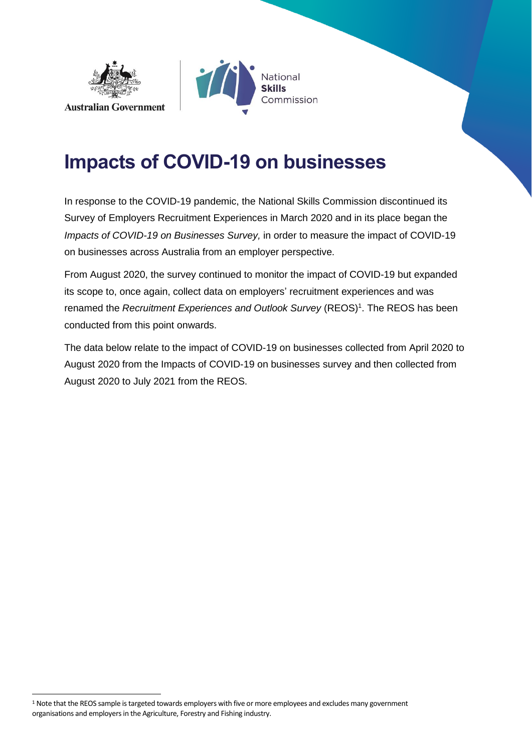



# **Impacts of COVID-19 on businesses**

In response to the COVID-19 pandemic, the National Skills Commission discontinued its Survey of Employers Recruitment Experiences in March 2020 and in its place began the *Impacts of COVID-19 on Businesses Survey,* in order to measure the impact of COVID-19 on businesses across Australia from an employer perspective.

From August 2020, the survey continued to monitor the impact of COVID-19 but expanded its scope to, once again, collect data on employers' recruitment experiences and was renamed the *Recruitment Experiences and Outlook Survey* (REOS)<sup>1</sup>. The REOS has been conducted from this point onwards.

The data below relate to the impact of COVID-19 on businesses collected from April 2020 to August 2020 from the Impacts of COVID-19 on businesses survey and then collected from August 2020 to July 2021 from the REOS.

<sup>&</sup>lt;sup>1</sup> Note that the REOS sample is targeted towards employers with five or more employees and excludes many government organisations and employers in the Agriculture, Forestry and Fishing industry.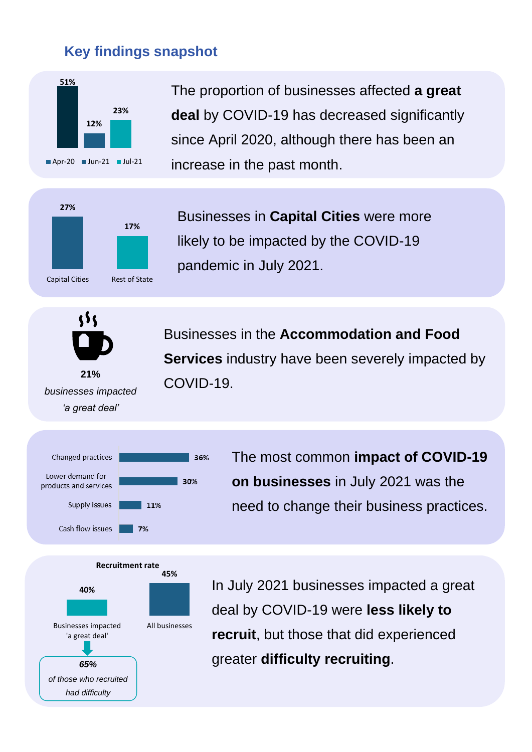# **Key findings snapshot**



Capital Cities Rest of State

The proportion of businesses affected **a great deal** by COVID-19 has decreased significantly since April 2020, although there has been an increase in the past month.

Businesses in **Capital Cities** were more likely to be impacted by the COVID-19 pandemic in July 2021.



**21%**  *businesses impacted 'a great deal'*

Businesses in the **Accommodation and Food Services** industry have been severely impacted by COVID-19.



The most common **impact of COVID-19 on businesses** in July 2021 was the need to change their business practices.



In July 2021 businesses impacted a great deal by COVID-19 were **less likely to recruit**, but those that did experienced greater **difficulty recruiting**.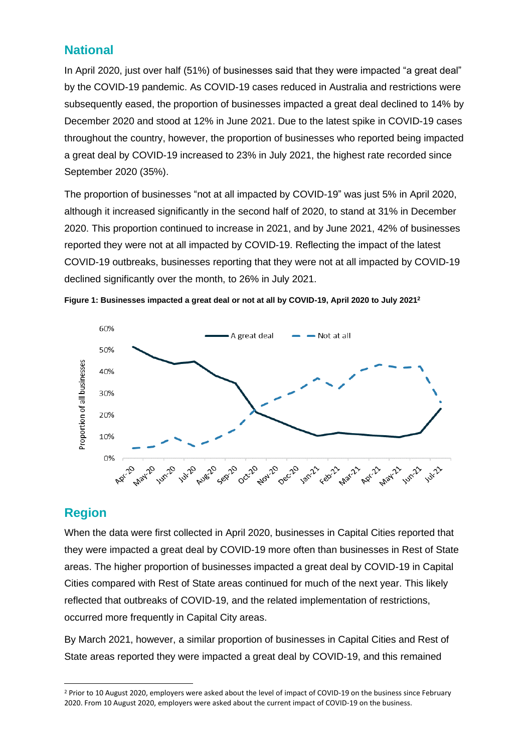## **National**

In April 2020, just over half (51%) of businesses said that they were impacted "a great deal" by the COVID-19 pandemic. As COVID-19 cases reduced in Australia and restrictions were subsequently eased, the proportion of businesses impacted a great deal declined to 14% by December 2020 and stood at 12% in June 2021. Due to the latest spike in COVID-19 cases throughout the country, however, the proportion of businesses who reported being impacted a great deal by COVID-19 increased to 23% in July 2021, the highest rate recorded since September 2020 (35%).

The proportion of businesses "not at all impacted by COVID-19" was just 5% in April 2020, although it increased significantly in the second half of 2020, to stand at 31% in December 2020. This proportion continued to increase in 2021, and by June 2021, 42% of businesses reported they were not at all impacted by COVID-19. Reflecting the impact of the latest COVID-19 outbreaks, businesses reporting that they were not at all impacted by COVID-19 declined significantly over the month, to 26% in July 2021.





# **Region**

When the data were first collected in April 2020, businesses in Capital Cities reported that they were impacted a great deal by COVID-19 more often than businesses in Rest of State areas. The higher proportion of businesses impacted a great deal by COVID-19 in Capital Cities compared with Rest of State areas continued for much of the next year. This likely reflected that outbreaks of COVID-19, and the related implementation of restrictions, occurred more frequently in Capital City areas.

By March 2021, however, a similar proportion of businesses in Capital Cities and Rest of State areas reported they were impacted a great deal by COVID-19, and this remained

<sup>&</sup>lt;sup>2</sup> Prior to 10 August 2020, employers were asked about the level of impact of COVID-19 on the business since February 2020. From 10 August 2020, employers were asked about the current impact of COVID-19 on the business.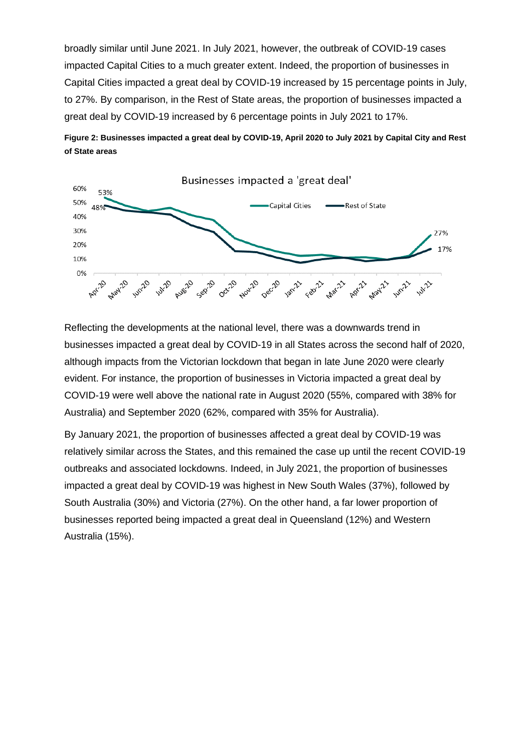broadly similar until June 2021. In July 2021, however, the outbreak of COVID-19 cases impacted Capital Cities to a much greater extent. Indeed, the proportion of businesses in Capital Cities impacted a great deal by COVID-19 increased by 15 percentage points in July, to 27%. By comparison, in the Rest of State areas, the proportion of businesses impacted a great deal by COVID-19 increased by 6 percentage points in July 2021 to 17%.





Reflecting the developments at the national level, there was a downwards trend in businesses impacted a great deal by COVID-19 in all States across the second half of 2020, although impacts from the Victorian lockdown that began in late June 2020 were clearly evident. For instance, the proportion of businesses in Victoria impacted a great deal by COVID-19 were well above the national rate in August 2020 (55%, compared with 38% for Australia) and September 2020 (62%, compared with 35% for Australia).

By January 2021, the proportion of businesses affected a great deal by COVID-19 was relatively similar across the States, and this remained the case up until the recent COVID-19 outbreaks and associated lockdowns. Indeed, in July 2021, the proportion of businesses impacted a great deal by COVID-19 was highest in New South Wales (37%), followed by South Australia (30%) and Victoria (27%). On the other hand, a far lower proportion of businesses reported being impacted a great deal in Queensland (12%) and Western Australia (15%).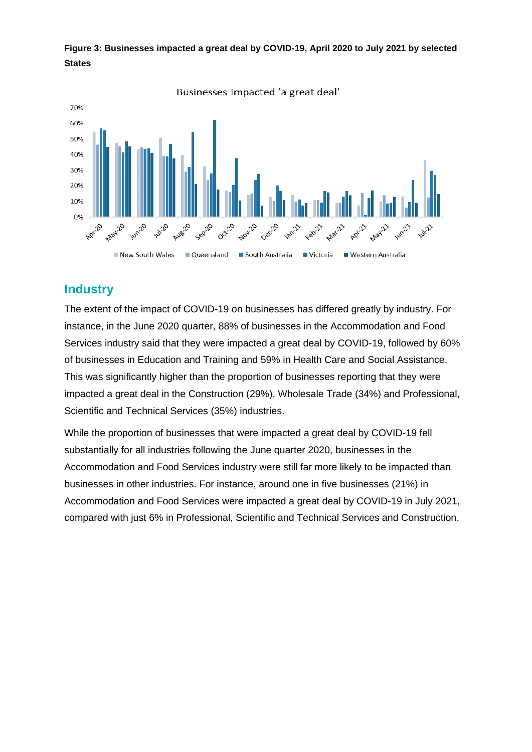

**Figure 3: Businesses impacted a great deal by COVID-19, April 2020 to July 2021 by selected States**

#### **Industry**

The extent of the impact of COVID-19 on businesses has differed greatly by industry. For instance, in the June 2020 quarter, 88% of businesses in the Accommodation and Food Services industry said that they were impacted a great deal by COVID-19, followed by 60% of businesses in Education and Training and 59% in Health Care and Social Assistance. This was significantly higher than the proportion of businesses reporting that they were impacted a great deal in the Construction (29%), Wholesale Trade (34%) and Professional, Scientific and Technical Services (35%) industries.

While the proportion of businesses that were impacted a great deal by COVID-19 fell substantially for all industries following the June quarter 2020, businesses in the Accommodation and Food Services industry were still far more likely to be impacted than businesses in other industries. For instance, around one in five businesses (21%) in Accommodation and Food Services were impacted a great deal by COVID-19 in July 2021, compared with just 6% in Professional, Scientific and Technical Services and Construction.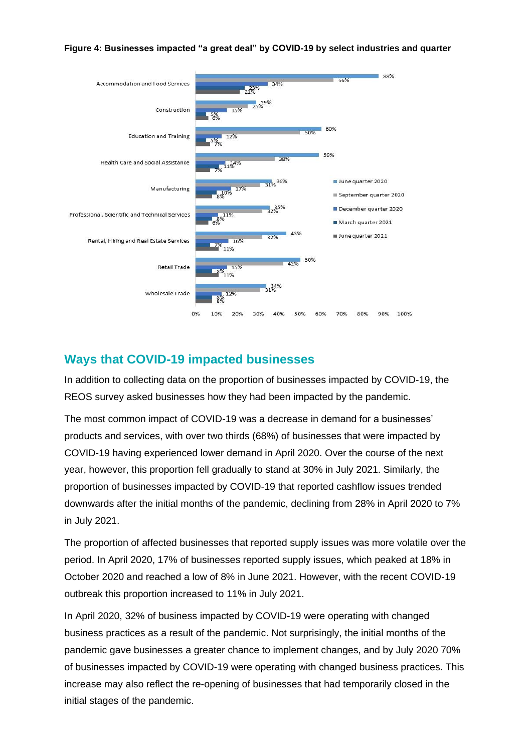



### **Ways that COVID-19 impacted businesses**

In addition to collecting data on the proportion of businesses impacted by COVID-19, the REOS survey asked businesses how they had been impacted by the pandemic.

The most common impact of COVID-19 was a decrease in demand for a businesses' products and services, with over two thirds (68%) of businesses that were impacted by COVID-19 having experienced lower demand in April 2020. Over the course of the next year, however, this proportion fell gradually to stand at 30% in July 2021. Similarly, the proportion of businesses impacted by COVID-19 that reported cashflow issues trended downwards after the initial months of the pandemic, declining from 28% in April 2020 to 7% in July 2021.

The proportion of affected businesses that reported supply issues was more volatile over the period. In April 2020, 17% of businesses reported supply issues, which peaked at 18% in October 2020 and reached a low of 8% in June 2021. However, with the recent COVID-19 outbreak this proportion increased to 11% in July 2021.

In April 2020, 32% of business impacted by COVID-19 were operating with changed business practices as a result of the pandemic. Not surprisingly, the initial months of the pandemic gave businesses a greater chance to implement changes, and by July 2020 70% of businesses impacted by COVID-19 were operating with changed business practices. This increase may also reflect the re-opening of businesses that had temporarily closed in the initial stages of the pandemic.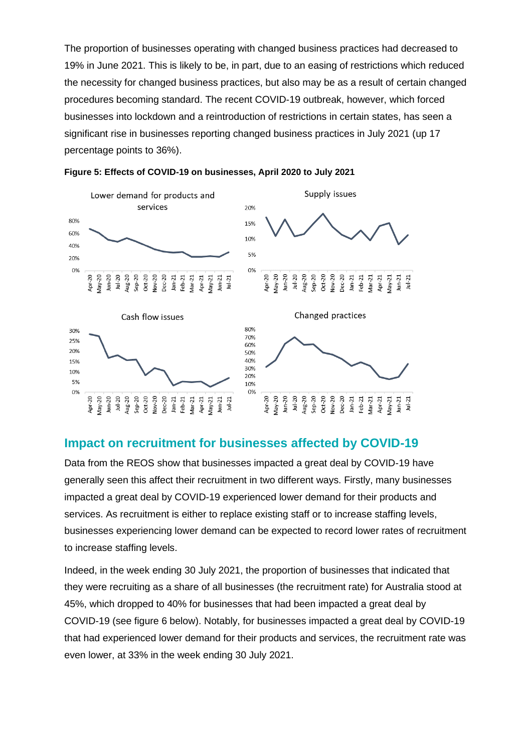The proportion of businesses operating with changed business practices had decreased to 19% in June 2021. This is likely to be, in part, due to an easing of restrictions which reduced the necessity for changed business practices, but also may be as a result of certain changed procedures becoming standard. The recent COVID-19 outbreak, however, which forced businesses into lockdown and a reintroduction of restrictions in certain states, has seen a significant rise in businesses reporting changed business practices in July 2021 (up 17 percentage points to 36%).





### **Impact on recruitment for businesses affected by COVID-19**

Data from the REOS show that businesses impacted a great deal by COVID-19 have generally seen this affect their recruitment in two different ways. Firstly, many businesses impacted a great deal by COVID-19 experienced lower demand for their products and services. As recruitment is either to replace existing staff or to increase staffing levels, businesses experiencing lower demand can be expected to record lower rates of recruitment to increase staffing levels.

Indeed, in the week ending 30 July 2021, the proportion of businesses that indicated that they were recruiting as a share of all businesses (the recruitment rate) for Australia stood at 45%, which dropped to 40% for businesses that had been impacted a great deal by COVID-19 (see figure 6 below). Notably, for businesses impacted a great deal by COVID-19 that had experienced lower demand for their products and services, the recruitment rate was even lower, at 33% in the week ending 30 July 2021.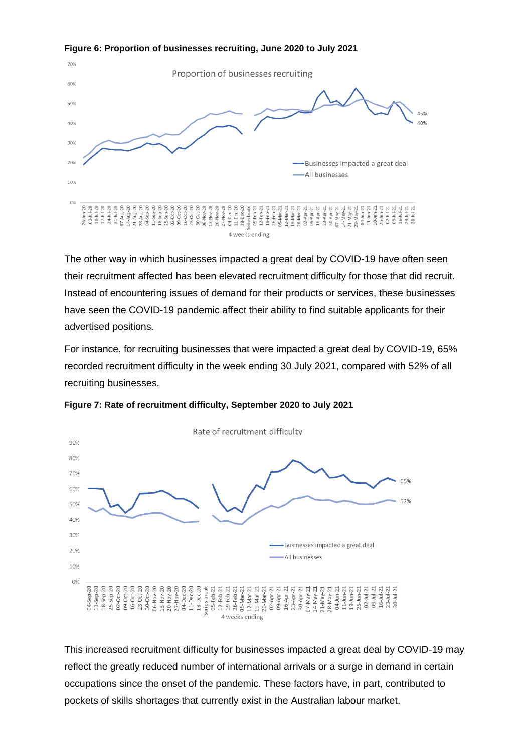

The other way in which businesses impacted a great deal by COVID-19 have often seen their recruitment affected has been elevated recruitment difficulty for those that did recruit. Instead of encountering issues of demand for their products or services, these businesses have seen the COVID-19 pandemic affect their ability to find suitable applicants for their advertised positions.

For instance, for recruiting businesses that were impacted a great deal by COVID-19, 65% recorded recruitment difficulty in the week ending 30 July 2021, compared with 52% of all recruiting businesses.



**Figure 7: Rate of recruitment difficulty, September 2020 to July 2021**

This increased recruitment difficulty for businesses impacted a great deal by COVID-19 may reflect the greatly reduced number of international arrivals or a surge in demand in certain occupations since the onset of the pandemic. These factors have, in part, contributed to pockets of skills shortages that currently exist in the Australian labour market.

**Figure 6: Proportion of businesses recruiting, June 2020 to July 2021**